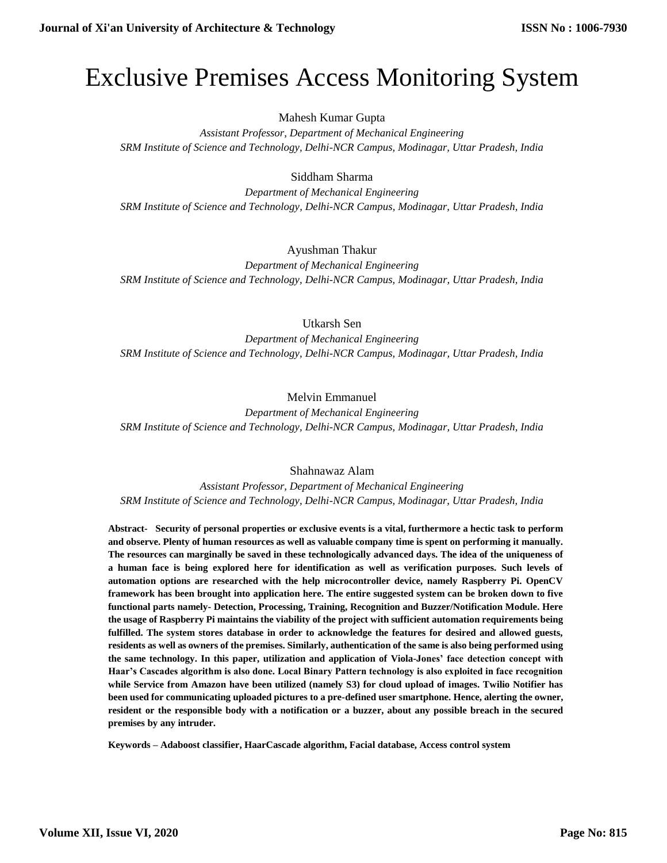# Exclusive Premises Access Monitoring System

## Mahesh Kumar Gupta

*Assistant Professor, Department of Mechanical Engineering SRM Institute of Science and Technology, Delhi-NCR Campus, Modinagar, Uttar Pradesh, India*

## Siddham Sharma

*Department of Mechanical Engineering SRM Institute of Science and Technology, Delhi-NCR Campus, Modinagar, Uttar Pradesh, India*

### Ayushman Thakur

*Department of Mechanical Engineering SRM Institute of Science and Technology, Delhi-NCR Campus, Modinagar, Uttar Pradesh, India*

Utkarsh Sen

*Department of Mechanical Engineering SRM Institute of Science and Technology, Delhi-NCR Campus, Modinagar, Uttar Pradesh, India*

Melvin Emmanuel

*Department of Mechanical Engineering SRM Institute of Science and Technology, Delhi-NCR Campus, Modinagar, Uttar Pradesh, India*

Shahnawaz Alam

*Assistant Professor, Department of Mechanical Engineering SRM Institute of Science and Technology, Delhi-NCR Campus, Modinagar, Uttar Pradesh, India*

**Abstract- Security of personal properties or exclusive events is a vital, furthermore a hectic task to perform and observe. Plenty of human resources as well as valuable company time is spent on performing it manually. The resources can marginally be saved in these technologically advanced days. The idea of the uniqueness of a human face is being explored here for identification as well as verification purposes. Such levels of automation options are researched with the help microcontroller device, namely Raspberry Pi. OpenCV framework has been brought into application here. The entire suggested system can be broken down to five functional parts namely- Detection, Processing, Training, Recognition and Buzzer/Notification Module. Here the usage of Raspberry Pi maintains the viability of the project with sufficient automation requirements being fulfilled. The system stores database in order to acknowledge the features for desired and allowed guests, residents as well as owners of the premises. Similarly, authentication of the same is also being performed using the same technology. In this paper, utilization and application of Viola-Jones' face detection concept with Haar's Cascades algorithm is also done. Local Binary Pattern technology is also exploited in face recognition while Service from Amazon have been utilized (namely S3) for cloud upload of images. Twilio Notifier has been used for communicating uploaded pictures to a pre-defined user smartphone. Hence, alerting the owner, resident or the responsible body with a notification or a buzzer, about any possible breach in the secured premises by any intruder.**

**Keywords – Adaboost classifier, HaarCascade algorithm, Facial database, Access control system**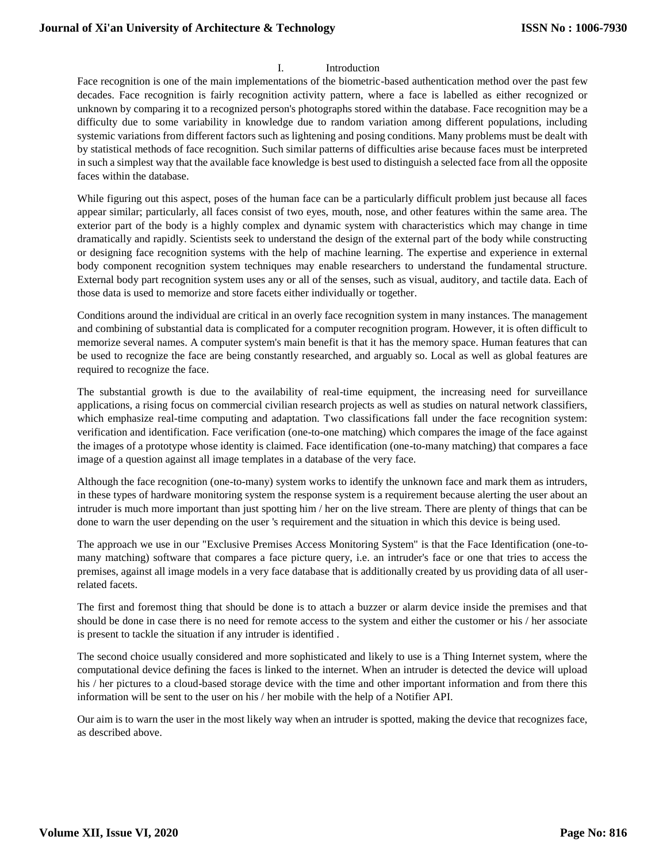#### I. Introduction

Face recognition is one of the main implementations of the biometric-based authentication method over the past few decades. Face recognition is fairly recognition activity pattern, where a face is labelled as either recognized or unknown by comparing it to a recognized person's photographs stored within the database. Face recognition may be a difficulty due to some variability in knowledge due to random variation among different populations, including systemic variations from different factors such as lightening and posing conditions. Many problems must be dealt with by statistical methods of face recognition. Such similar patterns of difficulties arise because faces must be interpreted in such a simplest way that the available face knowledge is best used to distinguish a selected face from all the opposite faces within the database.

While figuring out this aspect, poses of the human face can be a particularly difficult problem just because all faces appear similar; particularly, all faces consist of two eyes, mouth, nose, and other features within the same area. The exterior part of the body is a highly complex and dynamic system with characteristics which may change in time dramatically and rapidly. Scientists seek to understand the design of the external part of the body while constructing or designing face recognition systems with the help of machine learning. The expertise and experience in external body component recognition system techniques may enable researchers to understand the fundamental structure. External body part recognition system uses any or all of the senses, such as visual, auditory, and tactile data. Each of those data is used to memorize and store facets either individually or together.

Conditions around the individual are critical in an overly face recognition system in many instances. The management and combining of substantial data is complicated for a computer recognition program. However, it is often difficult to memorize several names. A computer system's main benefit is that it has the memory space. Human features that can be used to recognize the face are being constantly researched, and arguably so. Local as well as global features are required to recognize the face.

The substantial growth is due to the availability of real-time equipment, the increasing need for surveillance applications, a rising focus on commercial civilian research projects as well as studies on natural network classifiers, which emphasize real-time computing and adaptation. Two classifications fall under the face recognition system: verification and identification. Face verification (one-to-one matching) which compares the image of the face against the images of a prototype whose identity is claimed. Face identification (one-to-many matching) that compares a face image of a question against all image templates in a database of the very face.

Although the face recognition (one-to-many) system works to identify the unknown face and mark them as intruders, in these types of hardware monitoring system the response system is a requirement because alerting the user about an intruder is much more important than just spotting him / her on the live stream. There are plenty of things that can be done to warn the user depending on the user 's requirement and the situation in which this device is being used.

The approach we use in our "Exclusive Premises Access Monitoring System" is that the Face Identification (one-tomany matching) software that compares a face picture query, i.e. an intruder's face or one that tries to access the premises, against all image models in a very face database that is additionally created by us providing data of all userrelated facets.

The first and foremost thing that should be done is to attach a buzzer or alarm device inside the premises and that should be done in case there is no need for remote access to the system and either the customer or his / her associate is present to tackle the situation if any intruder is identified .

The second choice usually considered and more sophisticated and likely to use is a Thing Internet system, where the computational device defining the faces is linked to the internet. When an intruder is detected the device will upload his / her pictures to a cloud-based storage device with the time and other important information and from there this information will be sent to the user on his / her mobile with the help of a Notifier API.

Our aim is to warn the user in the most likely way when an intruder is spotted, making the device that recognizes face, as described above.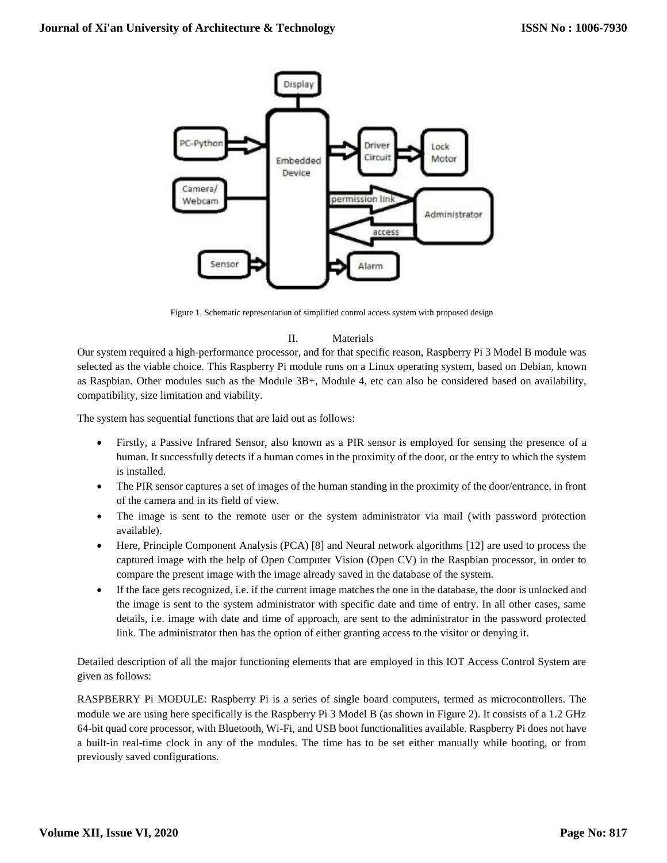

Figure 1. Schematic representation of simplified control access system with proposed design

## II. Materials

Our system required a high-performance processor, and for that specific reason, Raspberry Pi 3 Model B module was selected as the viable choice. This Raspberry Pi module runs on a Linux operating system, based on Debian, known as Raspbian. Other modules such as the Module 3B+, Module 4, etc can also be considered based on availability, compatibility, size limitation and viability.

The system has sequential functions that are laid out as follows:

- Firstly, a Passive Infrared Sensor, also known as a PIR sensor is employed for sensing the presence of a human. It successfully detects if a human comes in the proximity of the door, or the entry to which the system is installed.
- The PIR sensor captures a set of images of the human standing in the proximity of the door/entrance, in front of the camera and in its field of view.
- The image is sent to the remote user or the system administrator via mail (with password protection available).
- Here, Principle Component Analysis (PCA) [8] and Neural network algorithms [12] are used to process the captured image with the help of Open Computer Vision (Open CV) in the Raspbian processor, in order to compare the present image with the image already saved in the database of the system.
- If the face gets recognized, i.e. if the current image matches the one in the database, the door is unlocked and the image is sent to the system administrator with specific date and time of entry. In all other cases, same details, i.e. image with date and time of approach, are sent to the administrator in the password protected link. The administrator then has the option of either granting access to the visitor or denying it.

Detailed description of all the major functioning elements that are employed in this IOT Access Control System are given as follows:

RASPBERRY Pi MODULE: Raspberry Pi is a series of single board computers, termed as microcontrollers. The module we are using here specifically is the Raspberry Pi 3 Model B (as shown in Figure 2). It consists of a 1.2 GHz 64-bit quad core processor, with Bluetooth, Wi-Fi, and USB boot functionalities available. Raspberry Pi does not have a built-in real-time clock in any of the modules. The time has to be set either manually while booting, or from previously saved configurations.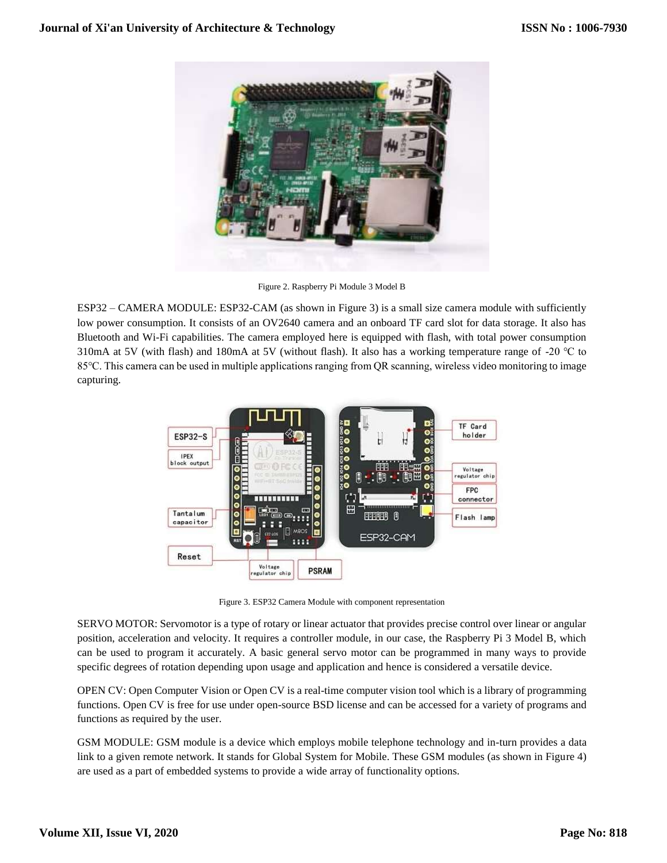

Figure 2. Raspberry Pi Module 3 Model B

ESP32 – CAMERA MODULE: ESP32-CAM (as shown in Figure 3) is a small size camera module with sufficiently low power consumption. It consists of an OV2640 camera and an onboard TF card slot for data storage. It also has Bluetooth and Wi-Fi capabilities. The camera employed here is equipped with flash, with total power consumption 310mA at 5V (with flash) and 180mA at 5V (without flash). It also has a working temperature range of -20 ℃ to 85℃. This camera can be used in multiple applications ranging from QR scanning, wireless video monitoring to image capturing.



Figure 3. ESP32 Camera Module with component representation

SERVO MOTOR: Servomotor is a type of rotary or linear actuator that provides precise control over linear or angular position, acceleration and velocity. It requires a controller module, in our case, the Raspberry Pi 3 Model B, which can be used to program it accurately. A basic general servo motor can be programmed in many ways to provide specific degrees of rotation depending upon usage and application and hence is considered a versatile device.

OPEN CV: Open Computer Vision or Open CV is a real-time computer vision tool which is a library of programming functions. Open CV is free for use under open-source BSD license and can be accessed for a variety of programs and functions as required by the user.

GSM MODULE: GSM module is a device which employs mobile telephone technology and in-turn provides a data link to a given remote network. It stands for Global System for Mobile. These GSM modules (as shown in Figure 4) are used as a part of embedded systems to provide a wide array of functionality options.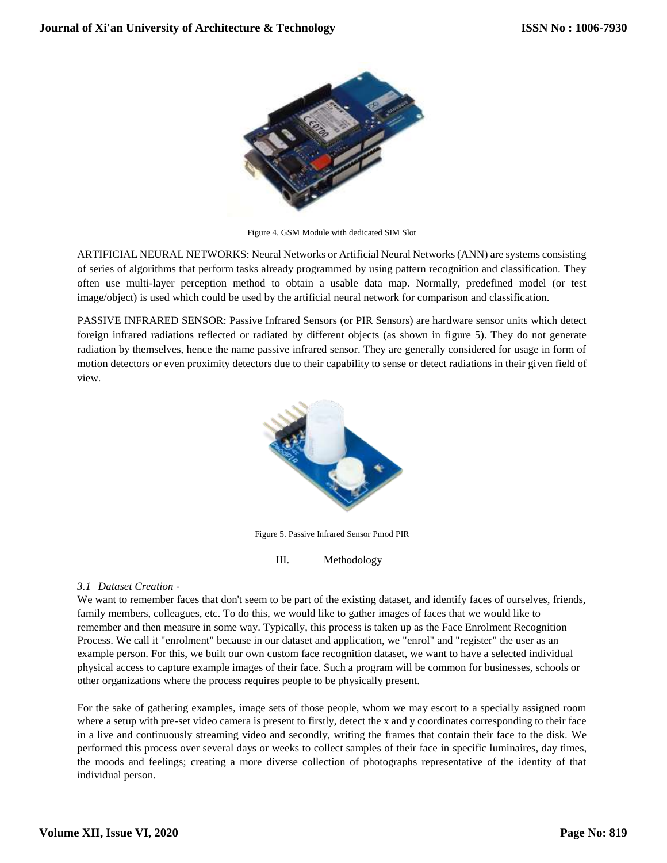

Figure 4. GSM Module with dedicated SIM Slot

ARTIFICIAL NEURAL NETWORKS: Neural Networks or Artificial Neural Networks (ANN) are systems consisting of series of algorithms that perform tasks already programmed by using pattern recognition and classification. They often use multi-layer perception method to obtain a usable data map. Normally, predefined model (or test image/object) is used which could be used by the artificial neural network for comparison and classification.

PASSIVE INFRARED SENSOR: Passive Infrared Sensors (or PIR Sensors) are hardware sensor units which detect foreign infrared radiations reflected or radiated by different objects (as shown in figure 5). They do not generate radiation by themselves, hence the name passive infrared sensor. They are generally considered for usage in form of motion detectors or even proximity detectors due to their capability to sense or detect radiations in their given field of view.



Figure 5. Passive Infrared Sensor Pmod PIR

III. Methodology

#### *3.1 Dataset Creation -*

We want to remember faces that don't seem to be part of the existing dataset, and identify faces of ourselves, friends, family members, colleagues, etc. To do this, we would like to gather images of faces that we would like to remember and then measure in some way. Typically, this process is taken up as the Face Enrolment Recognition Process. We call it "enrolment" because in our dataset and application, we "enrol" and "register" the user as an example person. For this, we built our own custom face recognition dataset, we want to have a selected individual physical access to capture example images of their face. Such a program will be common for businesses, schools or other organizations where the process requires people to be physically present.

For the sake of gathering examples, image sets of those people, whom we may escort to a specially assigned room where a setup with pre-set video camera is present to firstly, detect the x and y coordinates corresponding to their face in a live and continuously streaming video and secondly, writing the frames that contain their face to the disk. We performed this process over several days or weeks to collect samples of their face in specific luminaires, day times, the moods and feelings; creating a more diverse collection of photographs representative of the identity of that individual person.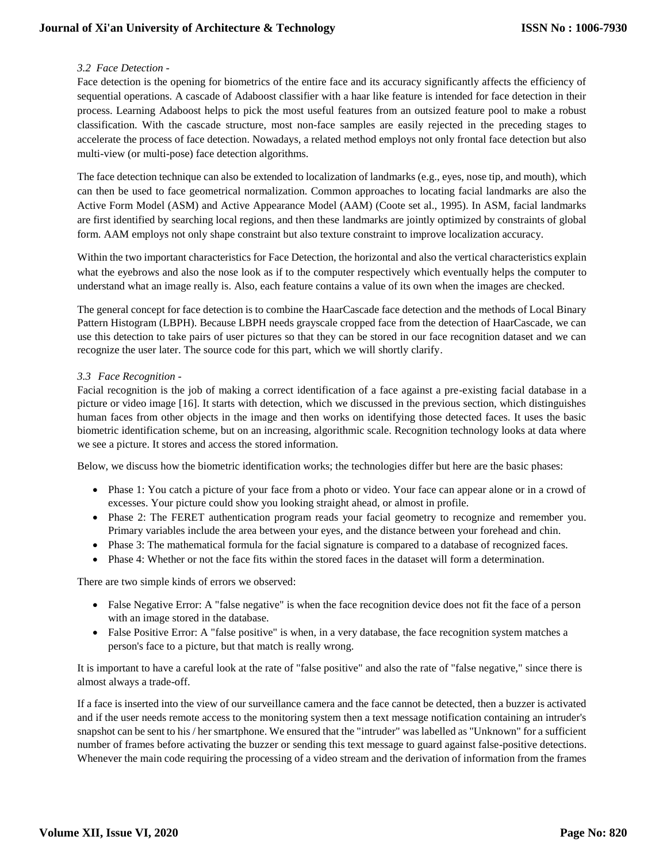## **Journal of Xi'an University of Architecture & Technology**

#### *3.2 Face Detection -*

Face detection is the opening for biometrics of the entire face and its accuracy significantly affects the efficiency of sequential operations. A cascade of Adaboost classifier with a haar like feature is intended for face detection in their process. Learning Adaboost helps to pick the most useful features from an outsized feature pool to make a robust classification. With the cascade structure, most non-face samples are easily rejected in the preceding stages to accelerate the process of face detection. Nowadays, a related method employs not only frontal face detection but also multi-view (or multi-pose) face detection algorithms.

The face detection technique can also be extended to localization of landmarks (e.g., eyes, nose tip, and mouth), which can then be used to face geometrical normalization. Common approaches to locating facial landmarks are also the Active Form Model (ASM) and Active Appearance Model (AAM) (Coote set al., 1995). In ASM, facial landmarks are first identified by searching local regions, and then these landmarks are jointly optimized by constraints of global form. AAM employs not only shape constraint but also texture constraint to improve localization accuracy.

Within the two important characteristics for Face Detection, the horizontal and also the vertical characteristics explain what the eyebrows and also the nose look as if to the computer respectively which eventually helps the computer to understand what an image really is. Also, each feature contains a value of its own when the images are checked.

The general concept for face detection is to combine the HaarCascade face detection and the methods of Local Binary Pattern Histogram (LBPH). Because LBPH needs grayscale cropped face from the detection of HaarCascade, we can use this detection to take pairs of user pictures so that they can be stored in our face recognition dataset and we can recognize the user later. The source code for this part, which we will shortly clarify.

#### *3.3 Face Recognition -*

Facial recognition is the job of making a correct identification of a face against a pre-existing facial database in a picture or video image [16]. It starts with detection, which we discussed in the previous section, which distinguishes human faces from other objects in the image and then works on identifying those detected faces. It uses the basic biometric identification scheme, but on an increasing, algorithmic scale. Recognition technology looks at data where we see a picture. It stores and access the stored information.

Below, we discuss how the biometric identification works; the technologies differ but here are the basic phases:

- Phase 1: You catch a picture of your face from a photo or video. Your face can appear alone or in a crowd of excesses. Your picture could show you looking straight ahead, or almost in profile.
- Phase 2: The FERET authentication program reads your facial geometry to recognize and remember you. Primary variables include the area between your eyes, and the distance between your forehead and chin.
- Phase 3: The mathematical formula for the facial signature is compared to a database of recognized faces.
- Phase 4: Whether or not the face fits within the stored faces in the dataset will form a determination.

There are two simple kinds of errors we observed:

- False Negative Error: A "false negative" is when the face recognition device does not fit the face of a person with an image stored in the database.
- False Positive Error: A "false positive" is when, in a very database, the face recognition system matches a person's face to a picture, but that match is really wrong.

It is important to have a careful look at the rate of "false positive" and also the rate of "false negative," since there is almost always a trade-off.

If a face is inserted into the view of our surveillance camera and the face cannot be detected, then a buzzer is activated and if the user needs remote access to the monitoring system then a text message notification containing an intruder's snapshot can be sent to his / her smartphone. We ensured that the "intruder" was labelled as "Unknown" for a sufficient number of frames before activating the buzzer or sending this text message to guard against false-positive detections. Whenever the main code requiring the processing of a video stream and the derivation of information from the frames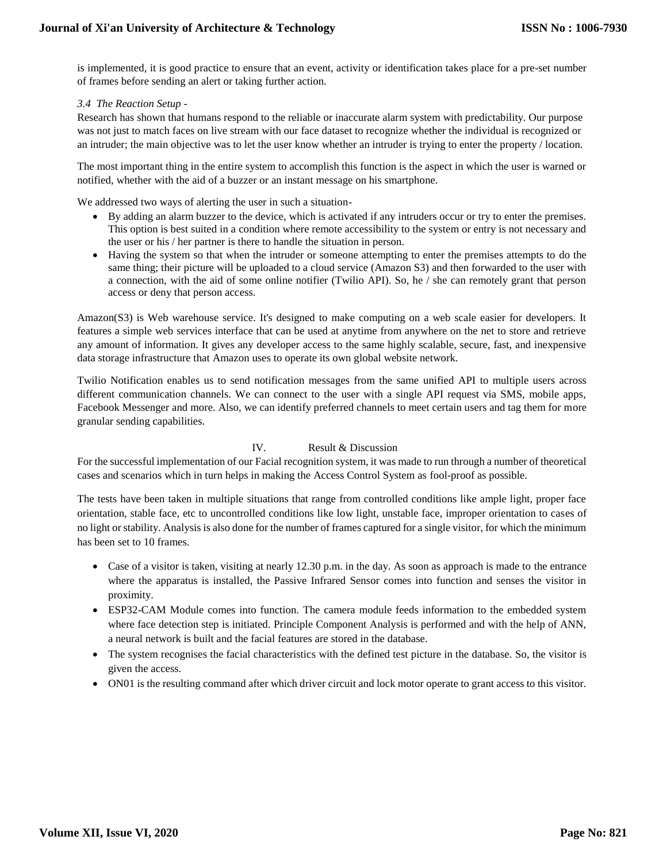is implemented, it is good practice to ensure that an event, activity or identification takes place for a pre-set number of frames before sending an alert or taking further action.

*3.4 The Reaction Setup -*

Research has shown that humans respond to the reliable or inaccurate alarm system with predictability. Our purpose was not just to match faces on live stream with our face dataset to recognize whether the individual is recognized or an intruder; the main objective was to let the user know whether an intruder is trying to enter the property / location.

The most important thing in the entire system to accomplish this function is the aspect in which the user is warned or notified, whether with the aid of a buzzer or an instant message on his smartphone.

We addressed two ways of alerting the user in such a situation-

- By adding an alarm buzzer to the device, which is activated if any intruders occur or try to enter the premises. This option is best suited in a condition where remote accessibility to the system or entry is not necessary and the user or his / her partner is there to handle the situation in person.
- Having the system so that when the intruder or someone attempting to enter the premises attempts to do the same thing; their picture will be uploaded to a cloud service (Amazon S3) and then forwarded to the user with a connection, with the aid of some online notifier (Twilio API). So, he / she can remotely grant that person access or deny that person access.

Amazon(S3) is Web warehouse service. It's designed to make computing on a web scale easier for developers. It features a simple web services interface that can be used at anytime from anywhere on the net to store and retrieve any amount of information. It gives any developer access to the same highly scalable, secure, fast, and inexpensive data storage infrastructure that Amazon uses to operate its own global website network.

Twilio Notification enables us to send notification messages from the same unified API to multiple users across different communication channels. We can connect to the user with a single API request via SMS, mobile apps, Facebook Messenger and more. Also, we can identify preferred channels to meet certain users and tag them for more granular sending capabilities.

#### IV. Result & Discussion

For the successful implementation of our Facial recognition system, it was made to run through a number of theoretical cases and scenarios which in turn helps in making the Access Control System as fool-proof as possible.

The tests have been taken in multiple situations that range from controlled conditions like ample light, proper face orientation, stable face, etc to uncontrolled conditions like low light, unstable face, improper orientation to cases of no light or stability. Analysis is also done for the number of frames captured for a single visitor, for which the minimum has been set to 10 frames.

- Case of a visitor is taken, visiting at nearly 12.30 p.m. in the day. As soon as approach is made to the entrance where the apparatus is installed, the Passive Infrared Sensor comes into function and senses the visitor in proximity.
- ESP32-CAM Module comes into function. The camera module feeds information to the embedded system where face detection step is initiated. Principle Component Analysis is performed and with the help of ANN, a neural network is built and the facial features are stored in the database.
- The system recognises the facial characteristics with the defined test picture in the database. So, the visitor is given the access.
- ON01 is the resulting command after which driver circuit and lock motor operate to grant access to this visitor.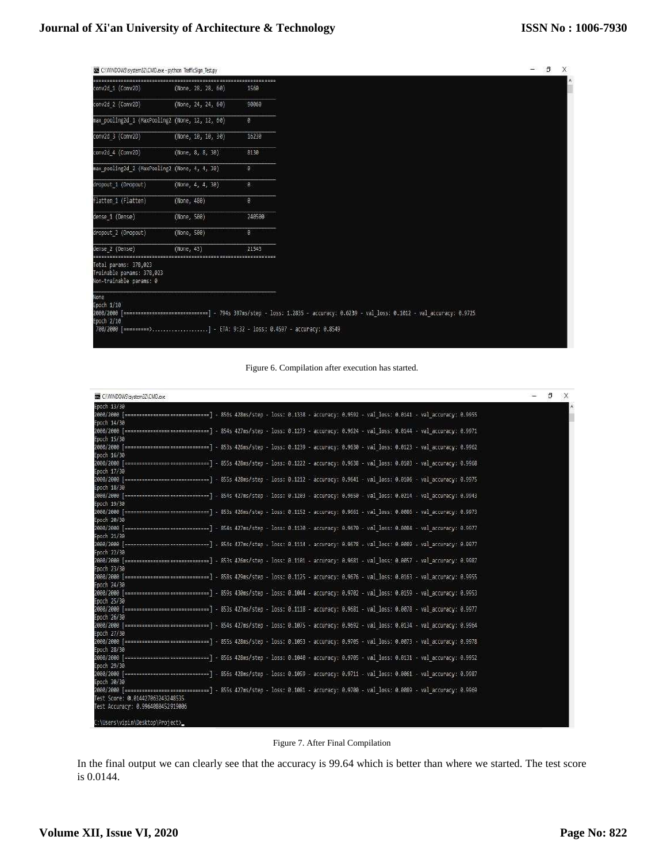## **Journal of Xi'an University of Architecture & Technology**

| C:\\\\NDOWS\system32\CMD.exe - python TrafficSign Test.py                     |                    |          |                                                                                                                                       | ា | X |
|-------------------------------------------------------------------------------|--------------------|----------|---------------------------------------------------------------------------------------------------------------------------------------|---|---|
| conv2d_1 (Conv2D)                                                             | (None, 28, 28, 60) | 1560     |                                                                                                                                       |   |   |
| conv2d 2 (Conv2D)                                                             | (None, 24, 24, 60) | 90060    |                                                                                                                                       |   |   |
| max pooling2d 1 (MaxPooling2 (None, 12, 12, 60)                               |                    | ø        |                                                                                                                                       |   |   |
| conv2d 3 (Conv2D)                                                             | (None, 18, 10, 30) | 16230    |                                                                                                                                       |   |   |
| conv2d 4 (Conv2D)                                                             | (None, 8, 8, 30)   | 8130     |                                                                                                                                       |   |   |
| max pooling2d 2 (MaxPooling2 (None, 4, 4, 30)                                 |                    | $\theta$ |                                                                                                                                       |   |   |
| dropout 1 (Dropout)                                                           | (None, 4, 4, 30)   | B.       |                                                                                                                                       |   |   |
| flatten 1 (Flatten)                                                           | (None, 480)        | 8        |                                                                                                                                       |   |   |
| dense 1 (Dense)                                                               | (None, 500)        | 240500   |                                                                                                                                       |   |   |
| dropout_2 (Oropout)                                                           | (None, 500)        | ä        |                                                                                                                                       |   |   |
| dense 2 (Dense)                                                               | (None, 43)         | 21543    |                                                                                                                                       |   |   |
| Total params: 378,023<br>Trainable params: 378,023<br>Non-trainable params: 0 |                    |          |                                                                                                                                       |   |   |
| None<br>Epoch 1/10<br>Epoch 2/10                                              |                    |          | 2000/2000 [===========================] - 794s 397ms/step - loss: 1.2835 - accuracy: 0.6239 - val loss: 0.1012 - val accuracy: 0.9725 |   |   |



| CAMINDOWS\system32\CMD.exe                                                                                                                                | Ð |
|-----------------------------------------------------------------------------------------------------------------------------------------------------------|---|
| Epoch 13/30                                                                                                                                               |   |
| 2000/2000 [===========================] - 856s 428ms/step - loss: 0.1338 - accuracy: 0.9592 - val loss: 0.0141 - val accuracy: 0.0955                     |   |
| Epoch 14/30                                                                                                                                               |   |
| 2000/2000 [=============================] - 854s 427ms/step - loss: 0.1273 - accuracy: 0.9624 - val loss: 0.0144 - val accuracy: 0.9971                   |   |
| Epoch 15/30<br>2000/2000 [============================] - 853s 426ms/step - loss: 0.1239 - accuracy: 0.9630 - val loss: 0.0123 - val accuracy: 0.9962     |   |
| Epoch 16/30                                                                                                                                               |   |
| 2000/2000 [============================] - 855s 428ms/step - loss: 0.1222 - accuracy: 0.9638 - val loss: 0.0103 - val accuracy: 0.9968                    |   |
| Epoch 17/30                                                                                                                                               |   |
|                                                                                                                                                           |   |
| Epoch 18/30                                                                                                                                               |   |
| 2000/2000 [=============================] - 854s 427ms/step - loss: 0.1203 - accuracy; 0.9550 - val loss: 0.0214 - val accuracy; 0.9943                   |   |
| Epoch 19/30                                                                                                                                               |   |
| 2000/2000 [=============================] - 853s 420ms/step - loss: 0.1152 - accuracy; 0.9661 - val loss: 0.0086 - val accuracy; 0.9973                   |   |
| Epoch 20/30                                                                                                                                               |   |
| 2000/2000 [-------------------------------] - 854s 427ms/step - loss: 0.1130 - accuracy: 0.9670 - val loss: 0.0804 - val accuracy: 0.9977                 |   |
| Epoch 21/30                                                                                                                                               |   |
| 2000/2000 [------------------------------] - 854s 427ms/step - loss: 0.1114 - accuracy: 0.9678 - val loss: 0.0089 - val accuracy: 0.9977                  |   |
| Epoch 22/30                                                                                                                                               |   |
| 2000/2000 [============================] - 853s 426ms/step - loss: 0.1101 - accuracy: 0.9681 - val loss: 0.0057 - val accuracy: 0.9987<br>Epoch 23/30     |   |
| 2000/2000 [===========================] - 858s 429ms/step - loss: 0.1125 - accuracy: 0.9676 - val loss: 0.0163 - val accuracy: 0.9955                     |   |
| Epoch 24/30                                                                                                                                               |   |
| 2000/2000 [===========================] - 859s 430ms/step - loss: 0.1044 - accuracy: 0.9702 - val loss: 0.0159 - val accuracy: 0.9953                     |   |
| Epoch 25/30                                                                                                                                               |   |
| 2000/2000 [=============================] - 853s 427ms/step - loss: 0.1118 - accuracy: 0.9681 - val loss: 0.0078 - val accuracy: 0.9977                   |   |
| Epoch 26/30                                                                                                                                               |   |
| 2000/2000 [=============================] - 854s 427ms/step - loss: 0.1075 - accuracy: 0.9692 - val loss: 0.0134 - val accuracy: 0.9964                   |   |
| Epoch 27/30                                                                                                                                               |   |
| 2000/2000 [===========================] - 855s 428ms/step - loss: 0.1053 - accuracy: 0.9705 - val loss: 0.0073 - val accuracy: 0.9978                     |   |
| Epoch 28/30                                                                                                                                               |   |
| 2000/2000 [================================ ] - B565 428ms/step - loss: 0.1040 - accuracy: 0.9705 - val loss: 0.0131 - val accuracy: 0.9952               |   |
| Epoch 29/30                                                                                                                                               |   |
| 2000/2000 [--------------------------------] - 856s 428ms/step - loss: 0.1059 - accuracy: 0.0711 - val loss: 0.0061 - val accuracy: 0.0087<br>Epoch 30/30 |   |
| 2000/2000 [============================] - 855s 427ms/step - loss: 0.1081 - accuracy: 0.9700 - val loss: 0.0089 - val accuracy: 0.0069                    |   |
| Test Score: 0.014427063243248535                                                                                                                          |   |
| Test Accuracy: 0.9964080452919006                                                                                                                         |   |
|                                                                                                                                                           |   |
| C:\Users\vipin\Desktop\Project>_                                                                                                                          |   |

Figure 7. After Final Compilation

In the final output we can clearly see that the accuracy is 99.64 which is better than where we started. The test score is 0.0144.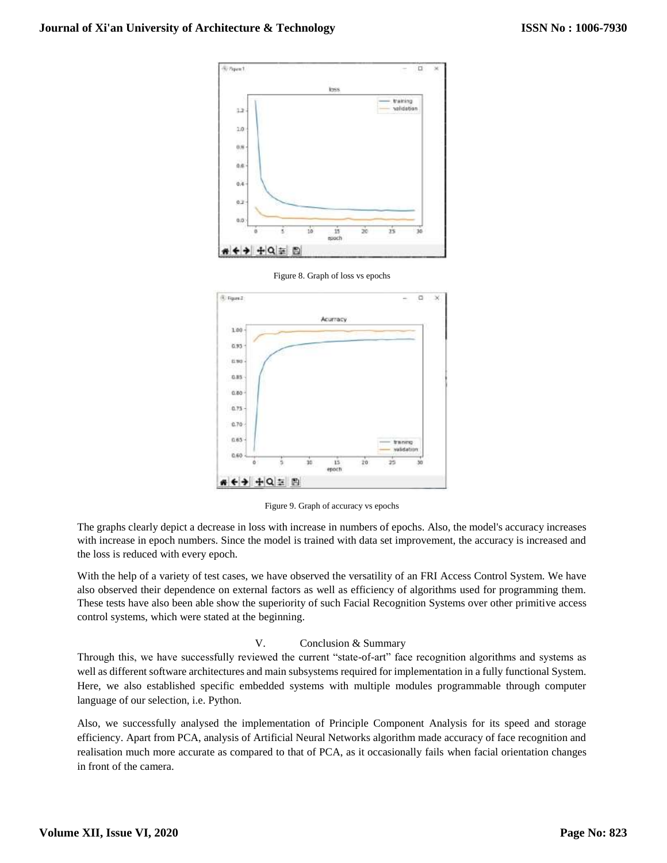





Figure 9. Graph of accuracy vs epochs

The graphs clearly depict a decrease in loss with increase in numbers of epochs. Also, the model's accuracy increases with increase in epoch numbers. Since the model is trained with data set improvement, the accuracy is increased and the loss is reduced with every epoch.

With the help of a variety of test cases, we have observed the versatility of an FRI Access Control System. We have also observed their dependence on external factors as well as efficiency of algorithms used for programming them. These tests have also been able show the superiority of such Facial Recognition Systems over other primitive access control systems, which were stated at the beginning.

#### V. Conclusion & Summary

Through this, we have successfully reviewed the current "state-of-art" face recognition algorithms and systems as well as different software architectures and main subsystems required for implementation in a fully functional System. Here, we also established specific embedded systems with multiple modules programmable through computer language of our selection, i.e. Python.

Also, we successfully analysed the implementation of Principle Component Analysis for its speed and storage efficiency. Apart from PCA, analysis of Artificial Neural Networks algorithm made accuracy of face recognition and realisation much more accurate as compared to that of PCA, as it occasionally fails when facial orientation changes in front of the camera.